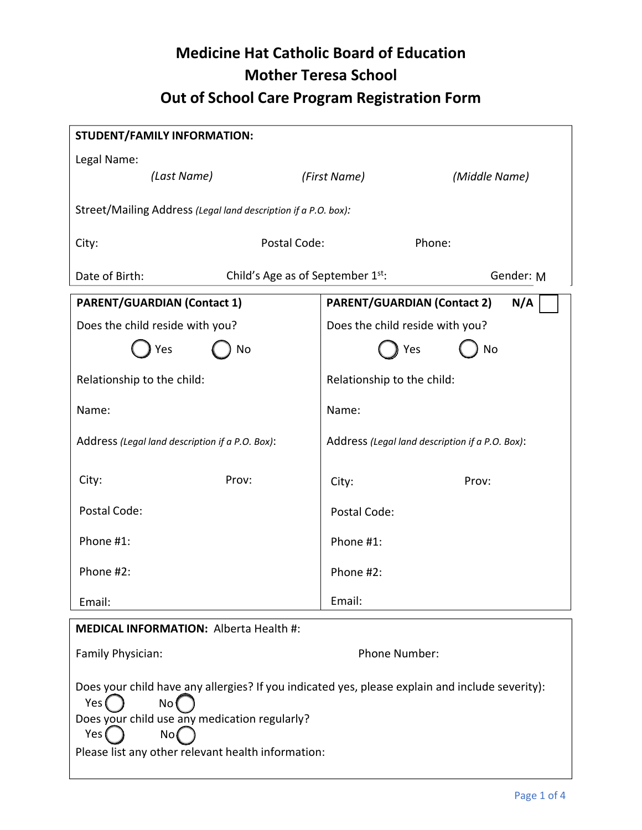# **Medicine Hat Catholic Board of Education Mother Teresa School Out of School Care Program Registration Form**

| <b>STUDENT/FAMILY INFORMATION:</b>                                                                                                                               |                                                 |  |  |  |
|------------------------------------------------------------------------------------------------------------------------------------------------------------------|-------------------------------------------------|--|--|--|
| Legal Name:                                                                                                                                                      |                                                 |  |  |  |
| (Last Name)                                                                                                                                                      | (First Name)<br>(Middle Name)                   |  |  |  |
| Street/Mailing Address (Legal land description if a P.O. box):                                                                                                   |                                                 |  |  |  |
| Postal Code:<br>City:                                                                                                                                            | Phone:                                          |  |  |  |
| Date of Birth:<br>Child's Age as of September 1st:                                                                                                               | Gender: M                                       |  |  |  |
| <b>PARENT/GUARDIAN (Contact 1)</b>                                                                                                                               | <b>PARENT/GUARDIAN (Contact 2)</b><br>N/A       |  |  |  |
| Does the child reside with you?                                                                                                                                  | Does the child reside with you?                 |  |  |  |
| Yes<br>No                                                                                                                                                        | Yes<br>No                                       |  |  |  |
| Relationship to the child:                                                                                                                                       | Relationship to the child:                      |  |  |  |
| Name:                                                                                                                                                            | Name:                                           |  |  |  |
| Address (Legal land description if a P.O. Box):                                                                                                                  | Address (Legal land description if a P.O. Box): |  |  |  |
| City:<br>Prov:                                                                                                                                                   | Prov:<br>City:                                  |  |  |  |
| Postal Code:                                                                                                                                                     | Postal Code:                                    |  |  |  |
| Phone #1:                                                                                                                                                        | Phone #1:                                       |  |  |  |
| Phone #2:                                                                                                                                                        | Phone #2:                                       |  |  |  |
| Email:                                                                                                                                                           | Email:                                          |  |  |  |
| <b>MEDICAL INFORMATION: Alberta Health #:</b>                                                                                                                    |                                                 |  |  |  |
| Family Physician:                                                                                                                                                | Phone Number:                                   |  |  |  |
| Does your child have any allergies? If you indicated yes, please explain and include severity):<br>Yes (<br>No(<br>Does your child use any medication regularly? |                                                 |  |  |  |
| Yes (<br>No(                                                                                                                                                     |                                                 |  |  |  |

Please list any other relevant health information: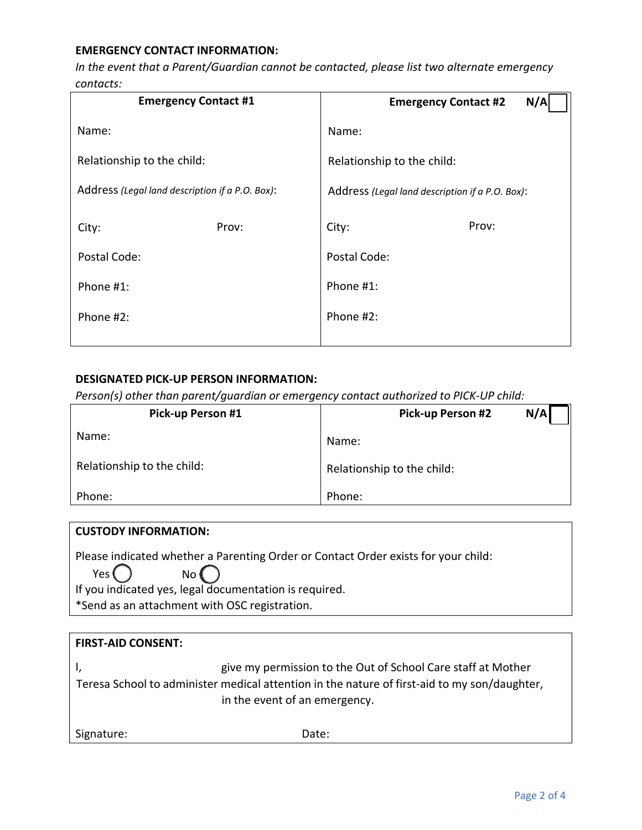#### **EMERGENCY CONTACT INFORMATION:**

*In the event that a Parent/Guardian cannot be contacted, please list two alternate emergency contacts:*

| <b>Emergency Contact #1</b>                     | N/A<br><b>Emergency Contact #2</b>              |  |
|-------------------------------------------------|-------------------------------------------------|--|
| Name:                                           | Name:                                           |  |
| Relationship to the child:                      | Relationship to the child:                      |  |
| Address (Legal land description if a P.O. Box): | Address (Legal land description if a P.O. Box): |  |
| Prov:<br>City:                                  | Prov:<br>City:                                  |  |
| Postal Code:                                    | Postal Code:                                    |  |
| Phone #1:                                       | Phone #1:                                       |  |
| Phone #2:                                       | Phone #2:                                       |  |
|                                                 |                                                 |  |

## **DESIGNATED PICK-UP PERSON INFORMATION:**

*Person(s) other than parent/guardian or emergency contact authorized to PICK-UP child:*

| <b>Pick-up Person #1</b>   | N/A<br><b>Pick-up Person #2</b> |  |
|----------------------------|---------------------------------|--|
| Name:                      | Name:                           |  |
| Relationship to the child: | Relationship to the child:      |  |
| Phone:                     | Phone:                          |  |

| <b>CUSTODY INFORMATION:</b>                                                        |  |  |
|------------------------------------------------------------------------------------|--|--|
| Please indicated whether a Parenting Order or Contact Order exists for your child: |  |  |
| Yes (<br>No (                                                                      |  |  |
| If you indicated yes, legal documentation is required.                             |  |  |
| *Send as an attachment with OSC registration.                                      |  |  |
|                                                                                    |  |  |

| <b>FIRST-AID CONSENT:</b>                                                                    |                                                              |  |
|----------------------------------------------------------------------------------------------|--------------------------------------------------------------|--|
|                                                                                              | give my permission to the Out of School Care staff at Mother |  |
| Teresa School to administer medical attention in the nature of first-aid to my son/daughter, |                                                              |  |
|                                                                                              | in the event of an emergency.                                |  |
|                                                                                              |                                                              |  |
| Signature:                                                                                   | Date:                                                        |  |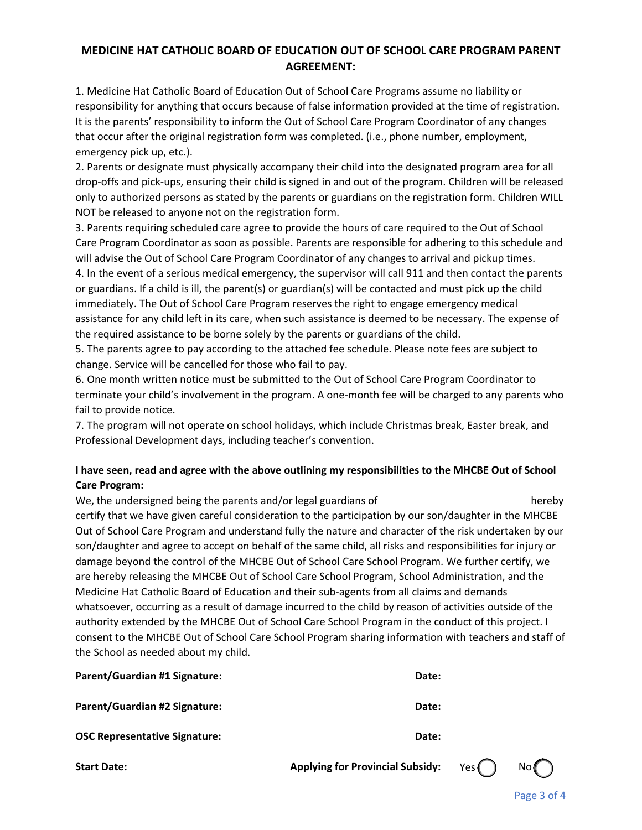# **MEDICINE HAT CATHOLIC BOARD OF EDUCATION OUT OF SCHOOL CARE PROGRAM PARENT AGREEMENT:**

1. Medicine Hat Catholic Board of Education Out of School Care Programs assume no liability or responsibility for anything that occurs because of false information provided at the time of registration. It is the parents' responsibility to inform the Out of School Care Program Coordinator of any changes that occur after the original registration form was completed. (i.e., phone number, employment, emergency pick up, etc.).

2. Parents or designate must physically accompany their child into the designated program area for all drop-offs and pick-ups, ensuring their child is signed in and out of the program. Children will be released only to authorized persons as stated by the parents or guardians on the registration form. Children WILL NOT be released to anyone not on the registration form.

3. Parents requiring scheduled care agree to provide the hours of care required to the Out of School Care Program Coordinator as soon as possible. Parents are responsible for adhering to this schedule and will advise the Out of School Care Program Coordinator of any changes to arrival and pickup times. 4. In the event of a serious medical emergency, the supervisor will call 911 and then contact the parents or guardians. If a child is ill, the parent(s) or guardian(s) will be contacted and must pick up the child immediately. The Out of School Care Program reserves the right to engage emergency medical assistance for any child left in its care, when such assistance is deemed to be necessary. The expense of the required assistance to be borne solely by the parents or guardians of the child.

5. The parents agree to pay according to the attached fee schedule. Please note fees are subject to change. Service will be cancelled for those who fail to pay.

6. One month written notice must be submitted to the Out of School Care Program Coordinator to terminate your child's involvement in the program. A one-month fee will be charged to any parents who fail to provide notice.

7. The program will not operate on school holidays, which include Christmas break, Easter break, and Professional Development days, including teacher's convention.

## **I have seen, read and agree with the above outlining my responsibilities to the MHCBE Out of School Care Program:**

We, the undersigned being the parents and/or legal guardians of hereby hereby certify that we have given careful consideration to the participation by our son/daughter in the MHCBE Out of School Care Program and understand fully the nature and character of the risk undertaken by our son/daughter and agree to accept on behalf of the same child, all risks and responsibilities for injury or damage beyond the control of the MHCBE Out of School Care School Program. We further certify, we are hereby releasing the MHCBE Out of School Care School Program, School Administration, and the Medicine Hat Catholic Board of Education and their sub-agents from all claims and demands whatsoever, occurring as a result of damage incurred to the child by reason of activities outside of the authority extended by the MHCBE Out of School Care School Program in the conduct of this project. I consent to the MHCBE Out of School Care School Program sharing information with teachers and staff of the School as needed about my child.

| <b>Parent/Guardian #1 Signature:</b> | Date: |
|--------------------------------------|-------|
| <b>Parent/Guardian #2 Signature:</b> | Date: |
| <b>OSC Representative Signature:</b> | Date: |

**Start Date: Applying for Provincial Subsidy:** Yes No